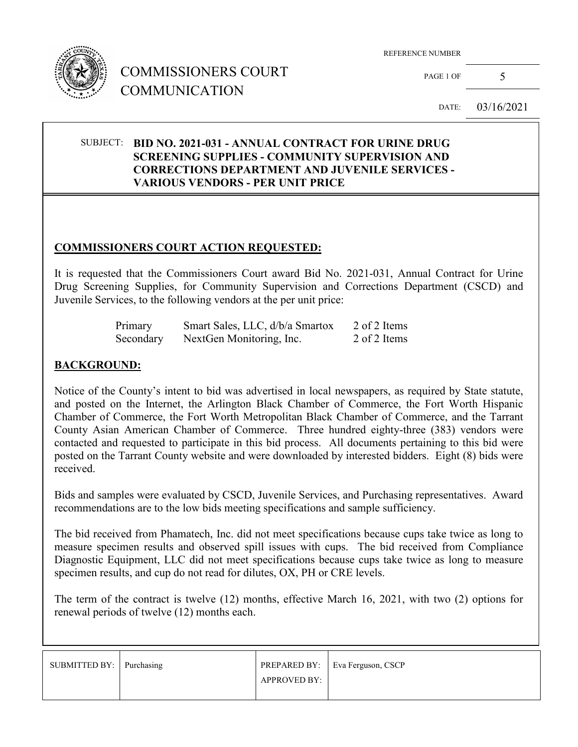

PAGE 1 OF  $5$ 

DATE: 03/16/2021

#### SUBJECT: **BID NO. 2021-031 - ANNUAL CONTRACT FOR URINE DRUG SCREENING SUPPLIES - COMMUNITY SUPERVISION AND CORRECTIONS DEPARTMENT AND JUVENILE SERVICES - VARIOUS VENDORS - PER UNIT PRICE**

#### **COMMISSIONERS COURT ACTION REQUESTED:**

It is requested that the Commissioners Court award Bid No. 2021-031, Annual Contract for Urine Drug Screening Supplies, for Community Supervision and Corrections Department (CSCD) and Juvenile Services, to the following vendors at the per unit price:

| Primary   | Smart Sales, LLC, d/b/a Smartox | 2 of 2 Items |
|-----------|---------------------------------|--------------|
| Secondary | NextGen Monitoring, Inc.        | 2 of 2 Items |

### **BACKGROUND:**

Notice of the County's intent to bid was advertised in local newspapers, as required by State statute, and posted on the Internet, the Arlington Black Chamber of Commerce, the Fort Worth Hispanic Chamber of Commerce, the Fort Worth Metropolitan Black Chamber of Commerce, and the Tarrant County Asian American Chamber of Commerce. Three hundred eighty-three (383) vendors were contacted and requested to participate in this bid process. All documents pertaining to this bid were posted on the Tarrant County website and were downloaded by interested bidders. Eight (8) bids were received.

Bids and samples were evaluated by CSCD, Juvenile Services, and Purchasing representatives. Award recommendations are to the low bids meeting specifications and sample sufficiency.

The bid received from Phamatech, Inc. did not meet specifications because cups take twice as long to measure specimen results and observed spill issues with cups. The bid received from Compliance Diagnostic Equipment, LLC did not meet specifications because cups take twice as long to measure specimen results, and cup do not read for dilutes, OX, PH or CRE levels.

The term of the contract is twelve (12) months, effective March 16, 2021, with two (2) options for renewal periods of twelve (12) months each.

| SUBMITTED BY: Purchasing |                     | PREPARED BY:   Eva Ferguson, CSCP |
|--------------------------|---------------------|-----------------------------------|
|                          | <b>APPROVED BY:</b> |                                   |